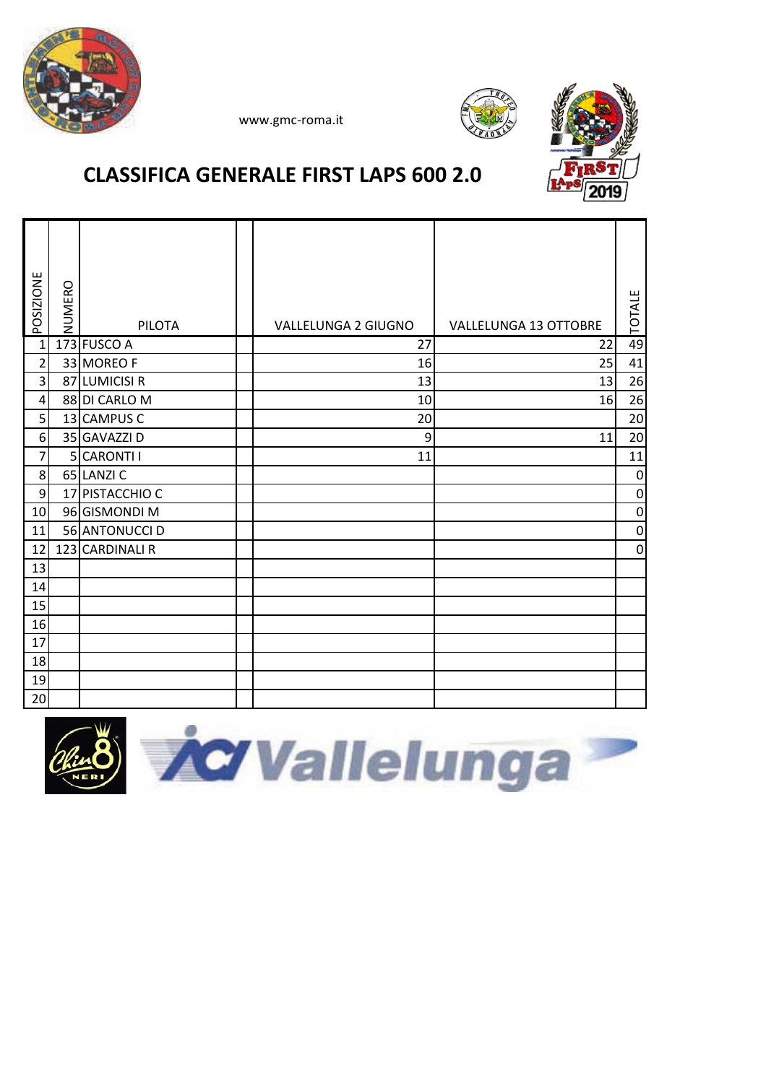





### **CLASSIFICA GENERALE FIRST LAPS 600 2.0**

| POSIZIONE      | NUMERO | <b>PILOTA</b>   | VALLELUNGA 2 GIUGNO | <b>VALLELUNGA 13 OTTOBRE</b> | <b>TOTALE</b> |
|----------------|--------|-----------------|---------------------|------------------------------|---------------|
| $\mathbf{1}$   |        | 173 FUSCO A     | 27                  | 22                           | 49            |
| $\overline{2}$ |        | 33 MOREO F      | 16                  | 25                           | 41            |
| $\overline{3}$ |        | 87 LUMICISI R   | 13                  | 13                           | 26            |
| $\overline{4}$ |        | 88 DI CARLO M   | 10                  | 16                           | 26            |
| $\overline{5}$ |        | 13 CAMPUS C     | 20                  |                              | 20            |
| 6              |        | 35 GAVAZZI D    | 9                   | 11                           | 20            |
| $\overline{7}$ |        | 5 CARONTI I     | 11                  |                              | 11            |
| 8              |        | 65 LANZIC       |                     |                              | $\mathbf 0$   |
| 9              |        | 17 PISTACCHIO C |                     |                              | $\mathbf 0$   |
| 10             |        | 96 GISMONDI M   |                     |                              | $\mathbf 0$   |
| 11             |        | 56 ANTONUCCI D  |                     |                              | $\mathbf 0$   |
| 12             |        | 123 CARDINALI R |                     |                              | $\mathbf 0$   |
| 13             |        |                 |                     |                              |               |
| 14             |        |                 |                     |                              |               |
| 15             |        |                 |                     |                              |               |
| 16             |        |                 |                     |                              |               |
| 17             |        |                 |                     |                              |               |
| 18             |        |                 |                     |                              |               |
| 19             |        |                 |                     |                              |               |
| 20             |        |                 |                     |                              |               |

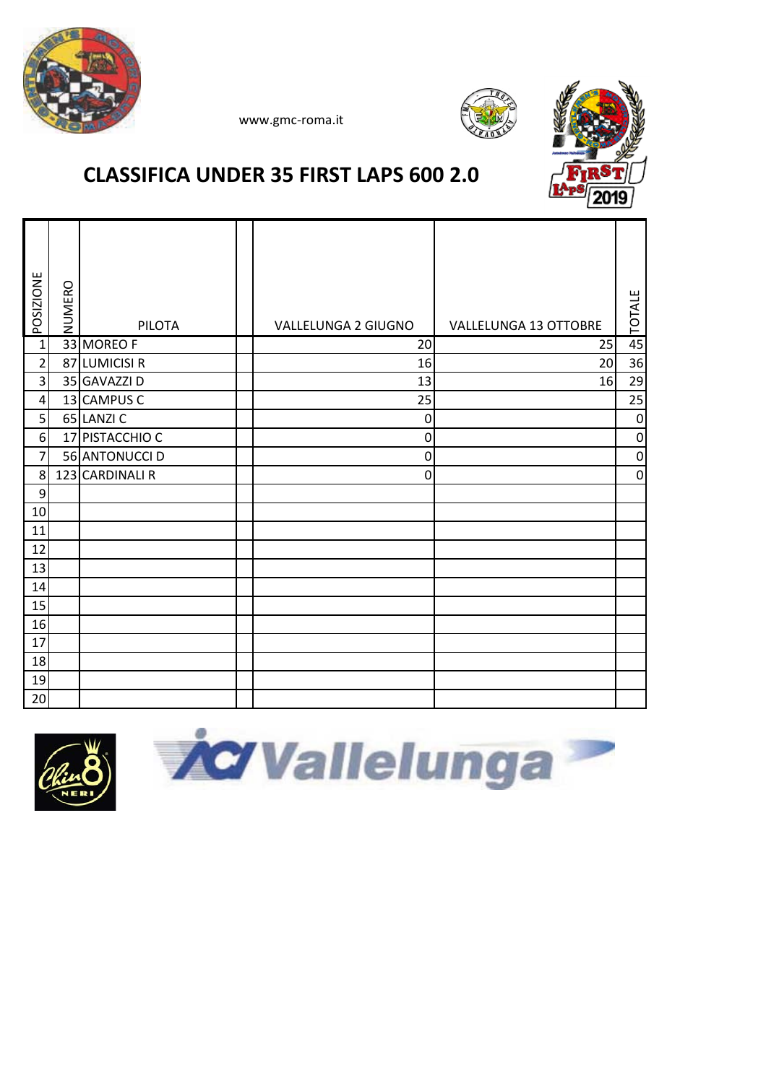





## **CLASSIFICA UNDER 35 FIRST LAPS 600 2.0**

| POSIZIONE        | NUMERO | <b>PILOTA</b>   | VALLELUNGA 2 GIUGNO | VALLELUNGA 13 OTTOBRE | <b>TOTALE</b>    |
|------------------|--------|-----------------|---------------------|-----------------------|------------------|
| $\overline{1}$   |        | 33 MOREO F      | 20                  | 25                    | 45               |
| $\overline{2}$   |        | 87 LUMICISI R   | 16                  | 20                    | 36               |
| 3                |        | 35 GAVAZZI D    | 13                  | 16                    | 29               |
| $\overline{4}$   |        | 13 CAMPUS C     | 25                  |                       | 25               |
| 5                |        | 65 LANZIC       | $\mathbf 0$         |                       | $\mathbf 0$      |
| $\boldsymbol{6}$ |        | 17 PISTACCHIO C | $\boldsymbol{0}$    |                       | $\boldsymbol{0}$ |
| 7                |        | 56 ANTONUCCI D  | $\mathbf 0$         |                       | $\pmb{0}$        |
| 8                |        | 123 CARDINALI R | 0                   |                       | $\pmb{0}$        |
| 9                |        |                 |                     |                       |                  |
| 10               |        |                 |                     |                       |                  |
| 11               |        |                 |                     |                       |                  |
| 12               |        |                 |                     |                       |                  |
| 13               |        |                 |                     |                       |                  |
| 14               |        |                 |                     |                       |                  |
| 15               |        |                 |                     |                       |                  |
| 16               |        |                 |                     |                       |                  |
| 17               |        |                 |                     |                       |                  |
| 18               |        |                 |                     |                       |                  |
| 19               |        |                 |                     |                       |                  |
| 20               |        |                 |                     |                       |                  |



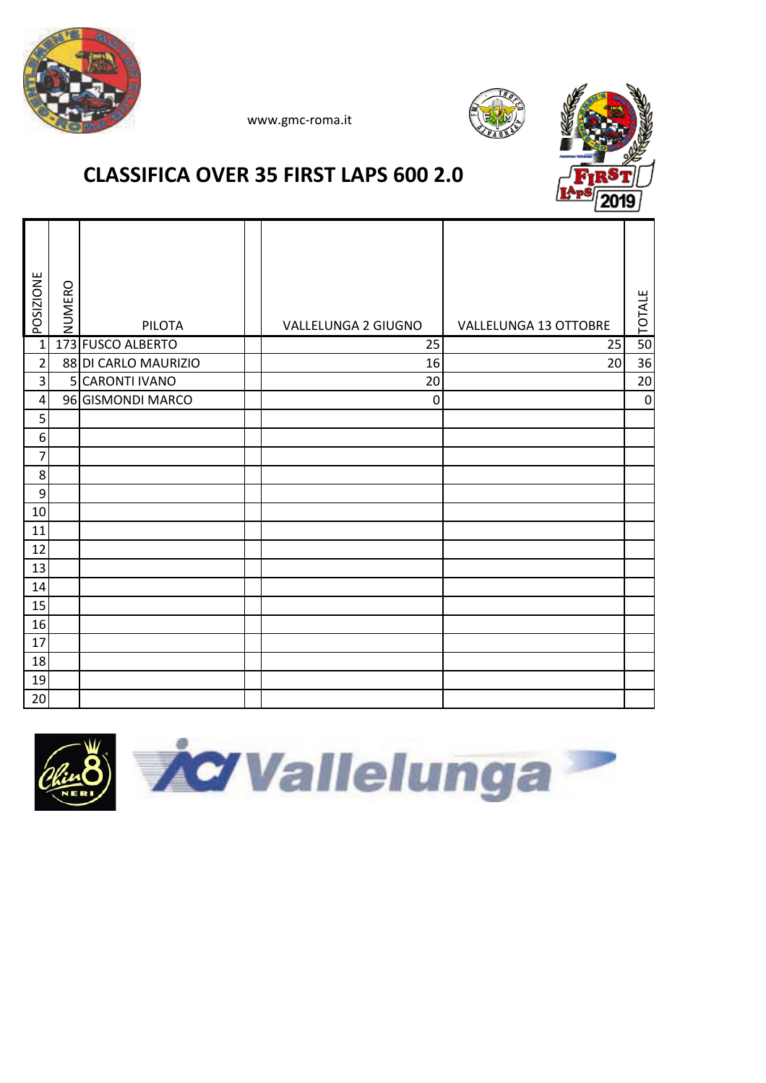





### **CLASSIFICA OVER 35 FIRST LAPS 600 2.0**

| <b>POSIZIONE</b> | NUMERO | <b>PILOTA</b>        | VALLELUNGA 2 GIUGNO | VALLELUNGA 13 OTTOBRE | <b>TOTALE</b> |
|------------------|--------|----------------------|---------------------|-----------------------|---------------|
| $\overline{1}$   |        | 173 FUSCO ALBERTO    | $\overline{25}$     | $\overline{25}$       | 50            |
| $\mathbf 2$      |        | 88 DI CARLO MAURIZIO | 16                  | 20                    | 36            |
| 3                |        | 5 CARONTI IVANO      | 20                  |                       | 20            |
| 4                |        | 96 GISMONDI MARCO    | $\boldsymbol{0}$    |                       | $\mathbf 0$   |
| 5                |        |                      |                     |                       |               |
| $\boldsymbol{6}$ |        |                      |                     |                       |               |
| $\overline{7}$   |        |                      |                     |                       |               |
| $\bf 8$          |        |                      |                     |                       |               |
| 9                |        |                      |                     |                       |               |
| 10               |        |                      |                     |                       |               |
| 11               |        |                      |                     |                       |               |
| 12               |        |                      |                     |                       |               |
| 13               |        |                      |                     |                       |               |
| 14               |        |                      |                     |                       |               |
| 15               |        |                      |                     |                       |               |
| 16               |        |                      |                     |                       |               |
| 17               |        |                      |                     |                       |               |
| 18               |        |                      |                     |                       |               |
| 19               |        |                      |                     |                       |               |
| 20               |        |                      |                     |                       |               |

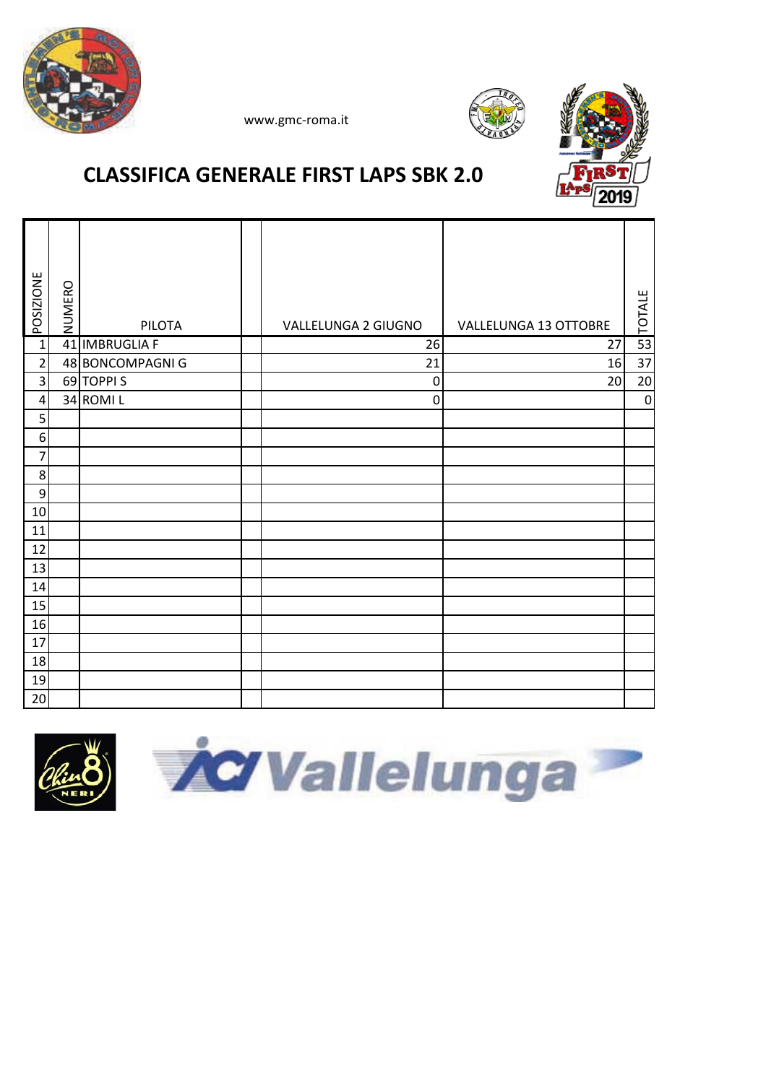





# **CLASSIFICA GENERALE FIRST LAPS SBK 2.0**

| <b>POSIZIONE</b>        | NUMERO | PILOTA           | VALLELUNGA 2 GIUGNO | VALLELUNGA 13 OTTOBRE | <b>TOTALE</b> |
|-------------------------|--------|------------------|---------------------|-----------------------|---------------|
| $\overline{1}$          |        | 41 IMBRUGLIA F   | $\overline{26}$     | $\overline{27}$       | 53            |
| $\overline{c}$          |        | 48 BONCOMPAGNI G | 21                  | 16                    | 37            |
| $\overline{\mathbf{3}}$ |        | 69 TOPPIS        | $\mathbf 0$         | 20                    | 20            |
| $\overline{\mathbf{r}}$ |        | 34 ROMIL         | $\mathbf 0$         |                       | $\pmb{0}$     |
| 5                       |        |                  |                     |                       |               |
| $\boldsymbol{6}$        |        |                  |                     |                       |               |
| $\overline{7}$          |        |                  |                     |                       |               |
| 8                       |        |                  |                     |                       |               |
| $\boldsymbol{9}$        |        |                  |                     |                       |               |
| 10                      |        |                  |                     |                       |               |
| 11                      |        |                  |                     |                       |               |
| 12                      |        |                  |                     |                       |               |
| 13                      |        |                  |                     |                       |               |
| 14                      |        |                  |                     |                       |               |
| 15                      |        |                  |                     |                       |               |
| 16                      |        |                  |                     |                       |               |
| 17                      |        |                  |                     |                       |               |
| 18                      |        |                  |                     |                       |               |
| 19                      |        |                  |                     |                       |               |
| 20                      |        |                  |                     |                       |               |



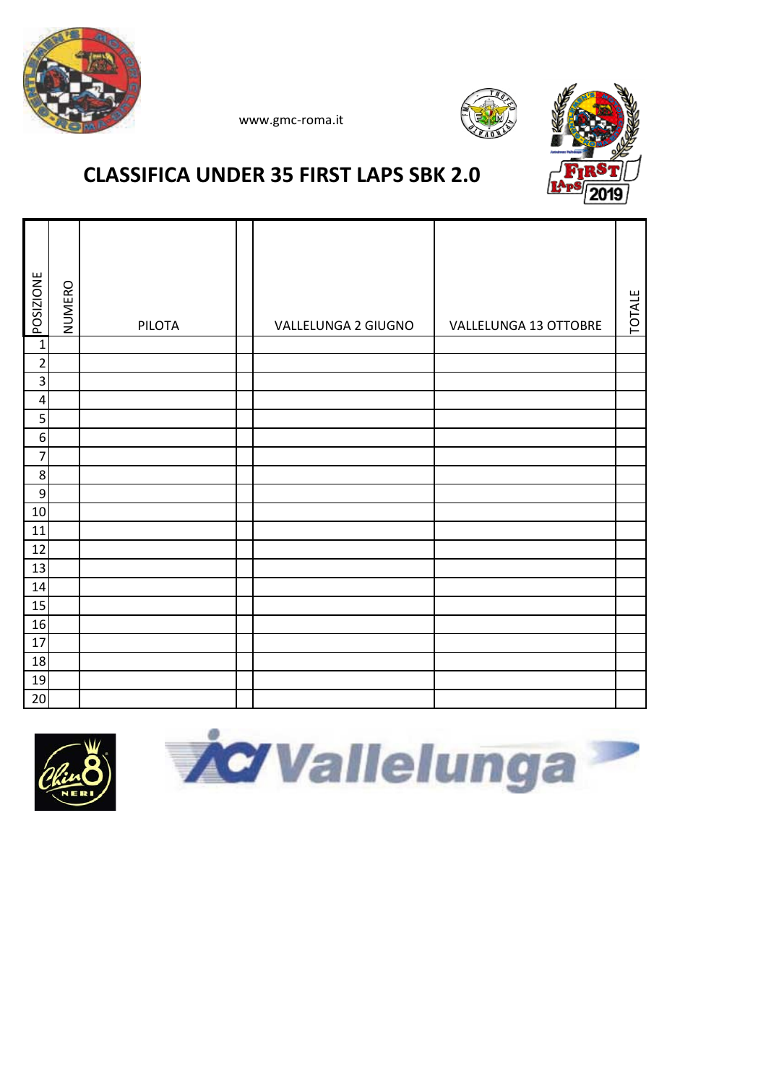





## **CLASSIFICA UNDER 35 FIRST LAPS SBK 2.0**

| POSIZIONE        | NUMERO | PILOTA | VALLELUNGA 2 GIUGNO | VALLELUNGA 13 OTTOBRE | <b>TOTALE</b> |
|------------------|--------|--------|---------------------|-----------------------|---------------|
| $\mathbf 1$      |        |        |                     |                       |               |
| $\mathbf 2$      |        |        |                     |                       |               |
| 3                |        |        |                     |                       |               |
| 4                |        |        |                     |                       |               |
| 5                |        |        |                     |                       |               |
| 6                |        |        |                     |                       |               |
| 7                |        |        |                     |                       |               |
| 8                |        |        |                     |                       |               |
| $\boldsymbol{9}$ |        |        |                     |                       |               |
| 10               |        |        |                     |                       |               |
| 11               |        |        |                     |                       |               |
| 12               |        |        |                     |                       |               |
| 13               |        |        |                     |                       |               |
| 14               |        |        |                     |                       |               |
| 15               |        |        |                     |                       |               |
| 16               |        |        |                     |                       |               |
| 17               |        |        |                     |                       |               |
| 18               |        |        |                     |                       |               |
| 19               |        |        |                     |                       |               |
| 20               |        |        |                     |                       |               |